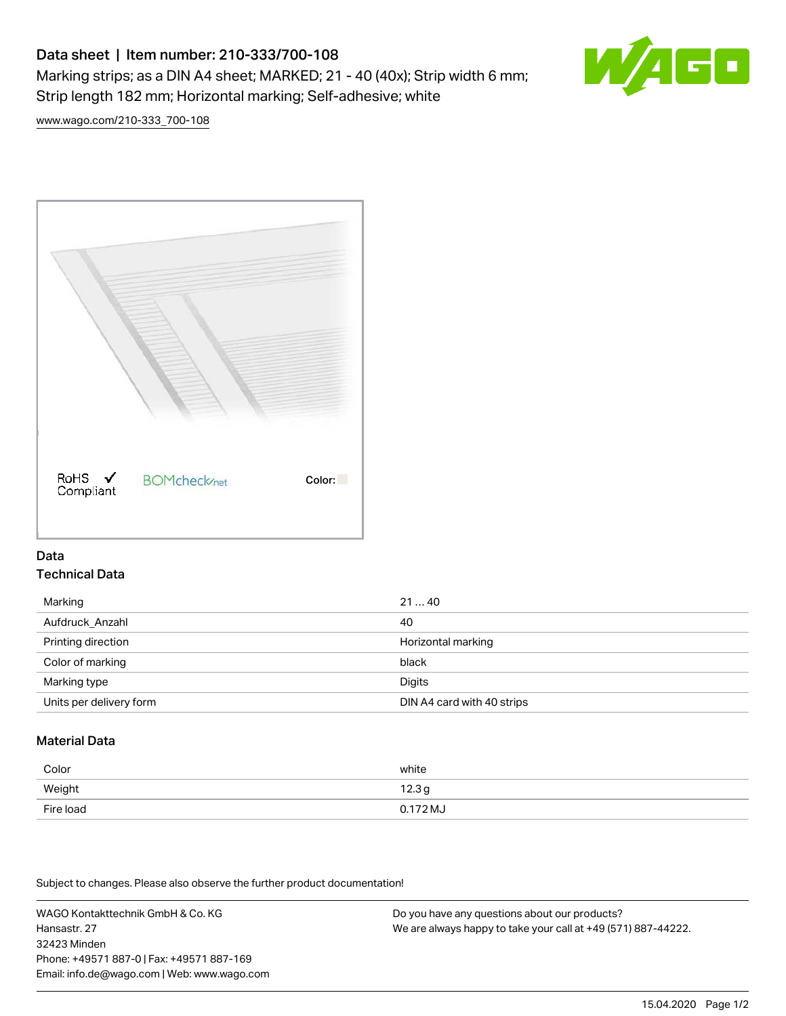# Data sheet | Item number: 210-333/700-108 Marking strips; as a DIN A4 sheet; MARKED; 21 - 40 (40x); Strip width 6 mm; Strip length 182 mm; Horizontal marking; Self-adhesive; white



[www.wago.com/210-333\\_700-108](http://www.wago.com/210-333_700-108)



## Data Technical Data

| Marking                 | 2140                       |
|-------------------------|----------------------------|
| Aufdruck Anzahl         | 40                         |
| Printing direction      | Horizontal marking         |
| Color of marking        | black                      |
| Marking type            | Digits                     |
| Units per delivery form | DIN A4 card with 40 strips |

# Material Data

| Color     | white               |
|-----------|---------------------|
| Weight    | 12.3g               |
| Fire load | $0.172 \mathrm{MJ}$ |

Subject to changes. Please also observe the further product documentation!

WAGO Kontakttechnik GmbH & Co. KG Hansastr. 27 32423 Minden Phone: +49571 887-0 | Fax: +49571 887-169 Email: info.de@wago.com | Web: www.wago.com Do you have any questions about our products? We are always happy to take your call at +49 (571) 887-44222.